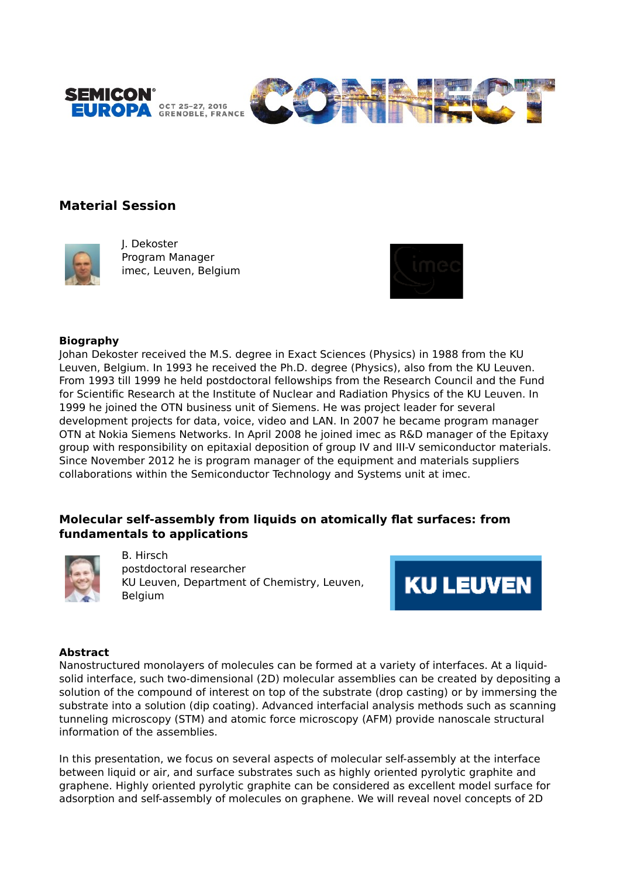



# **Material Session**



J. Dekoster Program Manager imec, Leuven, Belgium



#### **Biography**

Johan Dekoster received the M.S. degree in Exact Sciences (Physics) in 1988 from the KU Leuven, Belgium. In 1993 he received the Ph.D. degree (Physics), also from the KU Leuven. From 1993 till 1999 he held postdoctoral fellowships from the Research Council and the Fund for Scientific Research at the Institute of Nuclear and Radiation Physics of the KU Leuven. In 1999 he joined the OTN business unit of Siemens. He was project leader for several development projects for data, voice, video and LAN. In 2007 he became program manager OTN at Nokia Siemens Networks. In April 2008 he joined imec as R&D manager of the Epitaxy group with responsibility on epitaxial deposition of group IV and III-V semiconductor materials. Since November 2012 he is program manager of the equipment and materials suppliers collaborations within the Semiconductor Technology and Systems unit at imec.

# **Molecular self-assembly from liquids on atomically flat surfaces: from fundamentals to applications**



B. Hirsch postdoctoral researcher KU Leuven, Department of Chemistry, Leuven, **Belgium** 



#### **Abstract**

Nanostructured monolayers of molecules can be formed at a variety of interfaces. At a liquidsolid interface, such two-dimensional (2D) molecular assemblies can be created by depositing a solution of the compound of interest on top of the substrate (drop casting) or by immersing the substrate into a solution (dip coating). Advanced interfacial analysis methods such as scanning tunneling microscopy (STM) and atomic force microscopy (AFM) provide nanoscale structural information of the assemblies.

In this presentation, we focus on several aspects of molecular self-assembly at the interface between liquid or air, and surface substrates such as highly oriented pyrolytic graphite and graphene. Highly oriented pyrolytic graphite can be considered as excellent model surface for adsorption and self-assembly of molecules on graphene. We will reveal novel concepts of 2D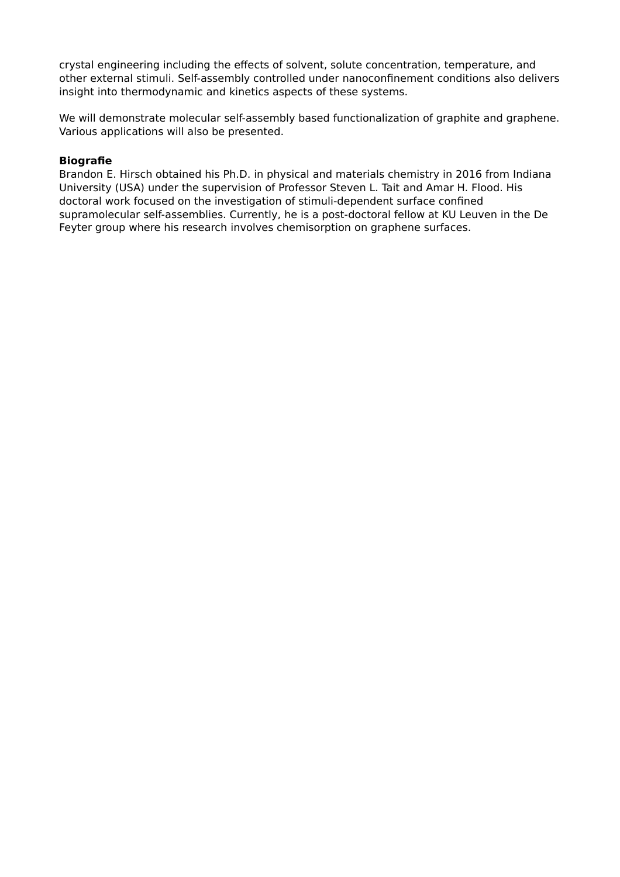crystal engineering including the effects of solvent, solute concentration, temperature, and other external stimuli. Self-assembly controlled under nanoconfinement conditions also delivers insight into thermodynamic and kinetics aspects of these systems.

We will demonstrate molecular self-assembly based functionalization of graphite and graphene. Various applications will also be presented.

### **Biografie**

Brandon E. Hirsch obtained his Ph.D. in physical and materials chemistry in 2016 from Indiana University (USA) under the supervision of Professor Steven L. Tait and Amar H. Flood. His doctoral work focused on the investigation of stimuli-dependent surface confined supramolecular self-assemblies. Currently, he is a post-doctoral fellow at KU Leuven in the De Feyter group where his research involves chemisorption on graphene surfaces.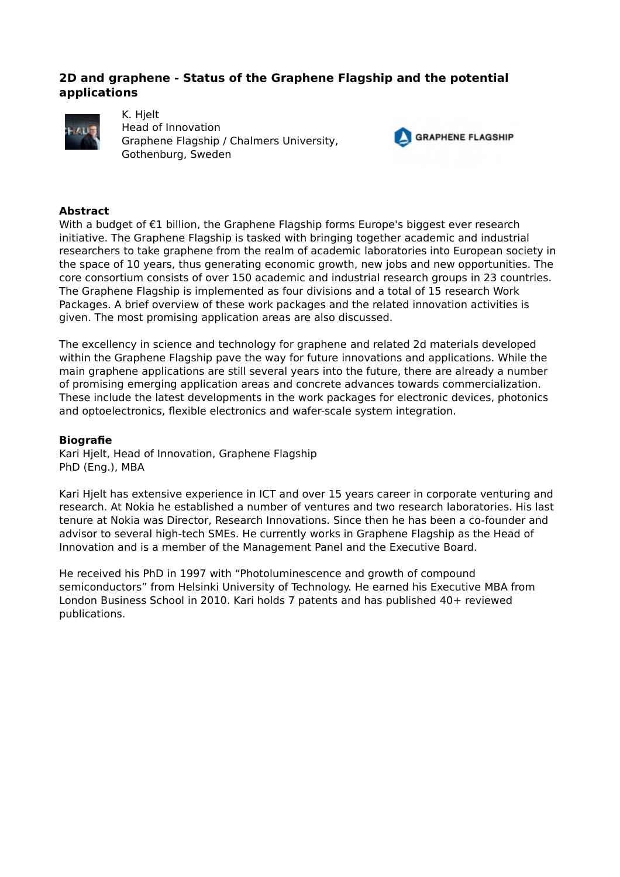# **2D and graphene - Status of the Graphene Flagship and the potential applications**



K. Hjelt Head of Innovation Graphene Flagship / Chalmers University, Gothenburg, Sweden



### **Abstract**

With a budget of €1 billion, the Graphene Flagship forms Europe's biggest ever research initiative. The Graphene Flagship is tasked with bringing together academic and industrial researchers to take graphene from the realm of academic laboratories into European society in the space of 10 years, thus generating economic growth, new jobs and new opportunities. The core consortium consists of over 150 academic and industrial research groups in 23 countries. The Graphene Flagship is implemented as four divisions and a total of 15 research Work Packages. A brief overview of these work packages and the related innovation activities is given. The most promising application areas are also discussed.

The excellency in science and technology for graphene and related 2d materials developed within the Graphene Flagship pave the way for future innovations and applications. While the main graphene applications are still several years into the future, there are already a number of promising emerging application areas and concrete advances towards commercialization. These include the latest developments in the work packages for electronic devices, photonics and optoelectronics, flexible electronics and wafer-scale system integration.

#### **Biografie**

Kari Hjelt, Head of Innovation, Graphene Flagship PhD (Eng.), MBA

Kari Hjelt has extensive experience in ICT and over 15 years career in corporate venturing and research. At Nokia he established a number of ventures and two research laboratories. His last tenure at Nokia was Director, Research Innovations. Since then he has been a co-founder and advisor to several high-tech SMEs. He currently works in Graphene Flagship as the Head of Innovation and is a member of the Management Panel and the Executive Board.

He received his PhD in 1997 with "Photoluminescence and growth of compound semiconductors" from Helsinki University of Technology. He earned his Executive MBA from London Business School in 2010. Kari holds 7 patents and has published 40+ reviewed publications.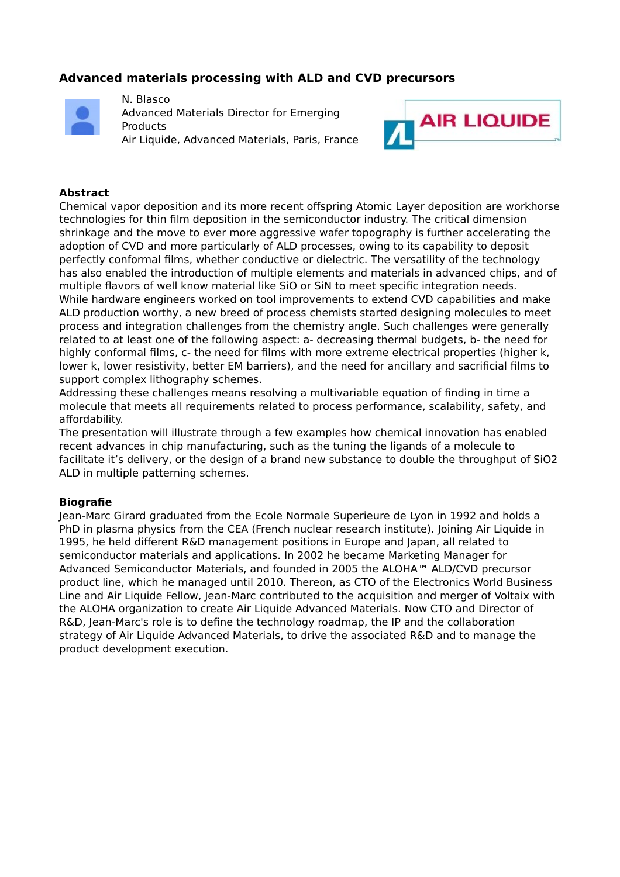# **Advanced materials processing with ALD and CVD precursors**



N. Blasco Advanced Materials Director for Emerging Products Air Liquide, Advanced Materials, Paris, France



### **Abstract**

Chemical vapor deposition and its more recent offspring Atomic Layer deposition are workhorse technologies for thin film deposition in the semiconductor industry. The critical dimension shrinkage and the move to ever more aggressive wafer topography is further accelerating the adoption of CVD and more particularly of ALD processes, owing to its capability to deposit perfectly conformal films, whether conductive or dielectric. The versatility of the technology has also enabled the introduction of multiple elements and materials in advanced chips, and of multiple flavors of well know material like SiO or SiN to meet specific integration needs. While hardware engineers worked on tool improvements to extend CVD capabilities and make ALD production worthy, a new breed of process chemists started designing molecules to meet process and integration challenges from the chemistry angle. Such challenges were generally related to at least one of the following aspect: a- decreasing thermal budgets, b- the need for highly conformal films, c- the need for films with more extreme electrical properties (higher k, lower k, lower resistivity, better EM barriers), and the need for ancillary and sacrificial films to support complex lithography schemes.

Addressing these challenges means resolving a multivariable equation of finding in time a molecule that meets all requirements related to process performance, scalability, safety, and affordability.

The presentation will illustrate through a few examples how chemical innovation has enabled recent advances in chip manufacturing, such as the tuning the ligands of a molecule to facilitate it's delivery, or the design of a brand new substance to double the throughput of SiO2 ALD in multiple patterning schemes.

#### **Biografie**

Jean-Marc Girard graduated from the Ecole Normale Superieure de Lyon in 1992 and holds a PhD in plasma physics from the CEA (French nuclear research institute). Joining Air Liquide in 1995, he held different R&D management positions in Europe and Japan, all related to semiconductor materials and applications. In 2002 he became Marketing Manager for Advanced Semiconductor Materials, and founded in 2005 the ALOHA™ ALD/CVD precursor product line, which he managed until 2010. Thereon, as CTO of the Electronics World Business Line and Air Liquide Fellow, Jean-Marc contributed to the acquisition and merger of Voltaix with the ALOHA organization to create Air Liquide Advanced Materials. Now CTO and Director of R&D, Jean-Marc's role is to define the technology roadmap, the IP and the collaboration strategy of Air Liquide Advanced Materials, to drive the associated R&D and to manage the product development execution.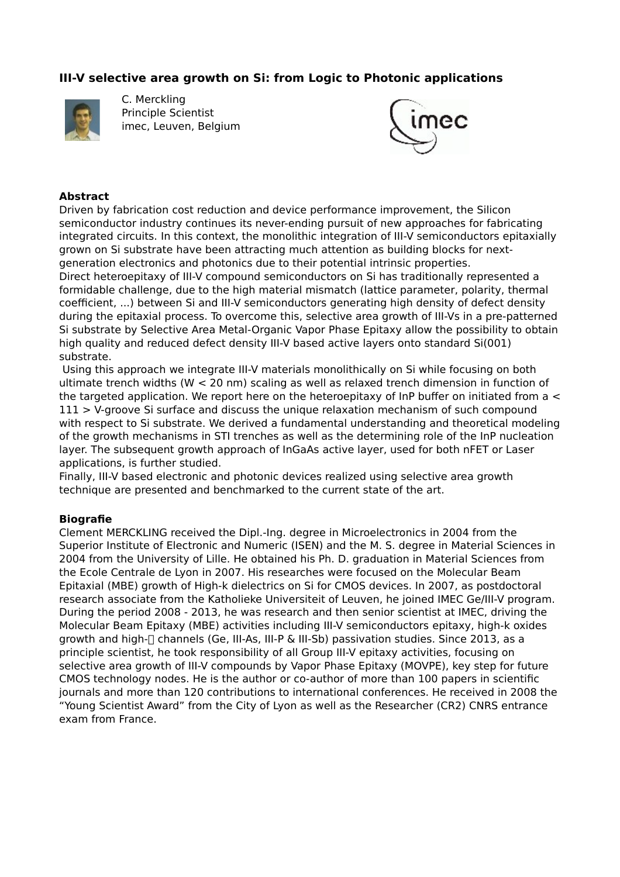# **III-V selective area growth on Si: from Logic to Photonic applications**



C. Merckling Principle Scientist imec, Leuven, Belgium



### **Abstract**

Driven by fabrication cost reduction and device performance improvement, the Silicon semiconductor industry continues its never-ending pursuit of new approaches for fabricating integrated circuits. In this context, the monolithic integration of III-V semiconductors epitaxially grown on Si substrate have been attracting much attention as building blocks for nextgeneration electronics and photonics due to their potential intrinsic properties.

Direct heteroepitaxy of III-V compound semiconductors on Si has traditionally represented a formidable challenge, due to the high material mismatch (lattice parameter, polarity, thermal coefficient, ...) between Si and III-V semiconductors generating high density of defect density during the epitaxial process. To overcome this, selective area growth of III-Vs in a pre-patterned Si substrate by Selective Area Metal-Organic Vapor Phase Epitaxy allow the possibility to obtain high quality and reduced defect density III-V based active layers onto standard Si(001) substrate.

 Using this approach we integrate III-V materials monolithically on Si while focusing on both ultimate trench widths (W < 20 nm) scaling as well as relaxed trench dimension in function of the targeted application. We report here on the heteroepitaxy of InP buffer on initiated from a  $\leq$ 111 > V-groove Si surface and discuss the unique relaxation mechanism of such compound with respect to Si substrate. We derived a fundamental understanding and theoretical modeling of the growth mechanisms in STI trenches as well as the determining role of the InP nucleation layer. The subsequent growth approach of InGaAs active layer, used for both nFET or Laser applications, is further studied.

Finally, III-V based electronic and photonic devices realized using selective area growth technique are presented and benchmarked to the current state of the art.

### **Biografie**

Clement MERCKLING received the Dipl.-Ing. degree in Microelectronics in 2004 from the Superior Institute of Electronic and Numeric (ISEN) and the M. S. degree in Material Sciences in 2004 from the University of Lille. He obtained his Ph. D. graduation in Material Sciences from the Ecole Centrale de Lyon in 2007. His researches were focused on the Molecular Beam Epitaxial (MBE) growth of High-k dielectrics on Si for CMOS devices. In 2007, as postdoctoral research associate from the Katholieke Universiteit of Leuven, he joined IMEC Ge/III-V program. During the period 2008 - 2013, he was research and then senior scientist at IMEC, driving the Molecular Beam Epitaxy (MBE) activities including III-V semiconductors epitaxy, high-k oxides growth and high- $\Box$  channels (Ge, III-As, III-P & III-Sb) passivation studies. Since 2013, as a principle scientist, he took responsibility of all Group III-V epitaxy activities, focusing on selective area growth of III-V compounds by Vapor Phase Epitaxy (MOVPE), key step for future CMOS technology nodes. He is the author or co-author of more than 100 papers in scientific journals and more than 120 contributions to international conferences. He received in 2008 the "Young Scientist Award" from the City of Lyon as well as the Researcher (CR2) CNRS entrance exam from France.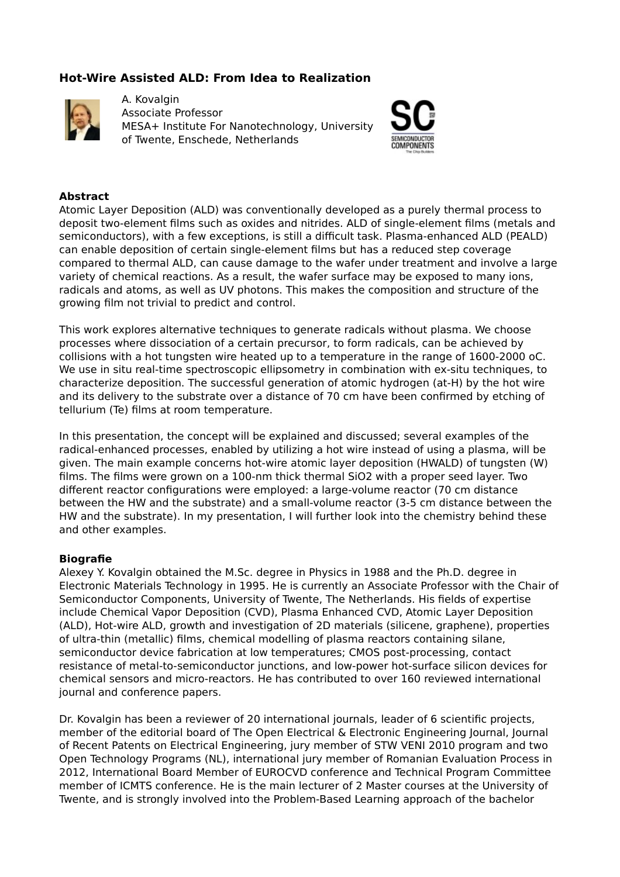# **Hot-Wire Assisted ALD: From Idea to Realization**



A. Kovalgin Associate Professor MESA+ Institute For Nanotechnology, University of Twente, Enschede, Netherlands



#### **Abstract**

Atomic Layer Deposition (ALD) was conventionally developed as a purely thermal process to deposit two-element films such as oxides and nitrides. ALD of single-element films (metals and semiconductors), with a few exceptions, is still a difficult task. Plasma-enhanced ALD (PEALD) can enable deposition of certain single-element films but has a reduced step coverage compared to thermal ALD, can cause damage to the wafer under treatment and involve a large variety of chemical reactions. As a result, the wafer surface may be exposed to many ions, radicals and atoms, as well as UV photons. This makes the composition and structure of the growing film not trivial to predict and control.

This work explores alternative techniques to generate radicals without plasma. We choose processes where dissociation of a certain precursor, to form radicals, can be achieved by collisions with a hot tungsten wire heated up to a temperature in the range of 1600-2000 oC. We use in situ real-time spectroscopic ellipsometry in combination with ex-situ techniques, to characterize deposition. The successful generation of atomic hydrogen (at-H) by the hot wire and its delivery to the substrate over a distance of 70 cm have been confirmed by etching of tellurium (Te) films at room temperature.

In this presentation, the concept will be explained and discussed; several examples of the radical-enhanced processes, enabled by utilizing a hot wire instead of using a plasma, will be given. The main example concerns hot-wire atomic layer deposition (HWALD) of tungsten (W) films. The films were grown on a 100-nm thick thermal SiO2 with a proper seed layer. Two different reactor configurations were employed: a large-volume reactor (70 cm distance between the HW and the substrate) and a small-volume reactor (3-5 cm distance between the HW and the substrate). In my presentation, I will further look into the chemistry behind these and other examples.

#### **Biografie**

Alexey Y. Kovalgin obtained the M.Sc. degree in Physics in 1988 and the Ph.D. degree in Electronic Materials Technology in 1995. He is currently an Associate Professor with the Chair of Semiconductor Components, University of Twente, The Netherlands. His fields of expertise include Chemical Vapor Deposition (CVD), Plasma Enhanced CVD, Atomic Layer Deposition (ALD), Hot-wire ALD, growth and investigation of 2D materials (silicene, graphene), properties of ultra-thin (metallic) films, chemical modelling of plasma reactors containing silane, semiconductor device fabrication at low temperatures; CMOS post-processing, contact resistance of metal-to-semiconductor junctions, and low-power hot-surface silicon devices for chemical sensors and micro-reactors. He has contributed to over 160 reviewed international journal and conference papers.

Dr. Kovalgin has been a reviewer of 20 international journals, leader of 6 scientific projects, member of the editorial board of The Open Electrical & Electronic Engineering Journal, Journal of Recent Patents on Electrical Engineering, jury member of STW VENI 2010 program and two Open Technology Programs (NL), international jury member of Romanian Evaluation Process in 2012, International Board Member of EUROCVD conference and Technical Program Committee member of ICMTS conference. He is the main lecturer of 2 Master courses at the University of Twente, and is strongly involved into the Problem-Based Learning approach of the bachelor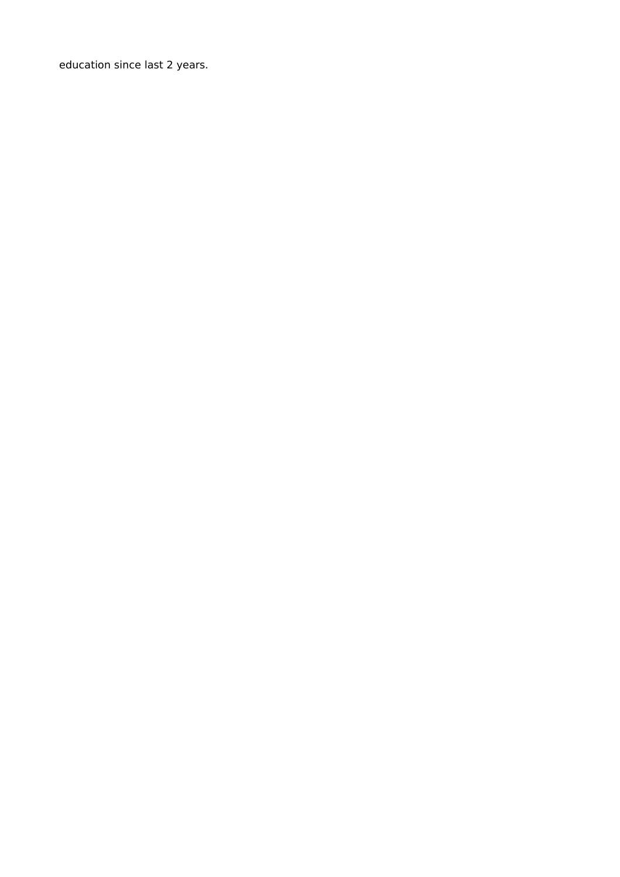education since last 2 years.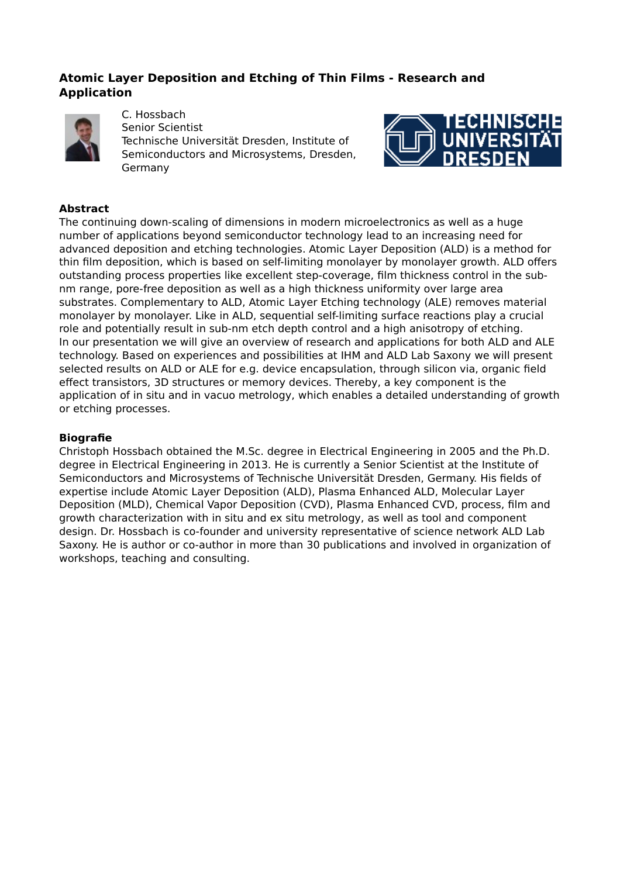# **Atomic Layer Deposition and Etching of Thin Films - Research and Application**



C. Hossbach Senior Scientist Technische Universität Dresden, Institute of Semiconductors and Microsystems, Dresden, Germany



### **Abstract**

The continuing down-scaling of dimensions in modern microelectronics as well as a huge number of applications beyond semiconductor technology lead to an increasing need for advanced deposition and etching technologies. Atomic Layer Deposition (ALD) is a method for thin film deposition, which is based on self-limiting monolayer by monolayer growth. ALD offers outstanding process properties like excellent step-coverage, film thickness control in the subnm range, pore-free deposition as well as a high thickness uniformity over large area substrates. Complementary to ALD, Atomic Layer Etching technology (ALE) removes material monolayer by monolayer. Like in ALD, sequential self-limiting surface reactions play a crucial role and potentially result in sub-nm etch depth control and a high anisotropy of etching. In our presentation we will give an overview of research and applications for both ALD and ALE technology. Based on experiences and possibilities at IHM and ALD Lab Saxony we will present selected results on ALD or ALE for e.g. device encapsulation, through silicon via, organic field effect transistors, 3D structures or memory devices. Thereby, a key component is the application of in situ and in vacuo metrology, which enables a detailed understanding of growth or etching processes.

### **Biografie**

Christoph Hossbach obtained the M.Sc. degree in Electrical Engineering in 2005 and the Ph.D. degree in Electrical Engineering in 2013. He is currently a Senior Scientist at the Institute of Semiconductors and Microsystems of Technische Universität Dresden, Germany. His fields of expertise include Atomic Layer Deposition (ALD), Plasma Enhanced ALD, Molecular Layer Deposition (MLD), Chemical Vapor Deposition (CVD), Plasma Enhanced CVD, process, film and growth characterization with in situ and ex situ metrology, as well as tool and component design. Dr. Hossbach is co-founder and university representative of science network ALD Lab Saxony. He is author or co-author in more than 30 publications and involved in organization of workshops, teaching and consulting.